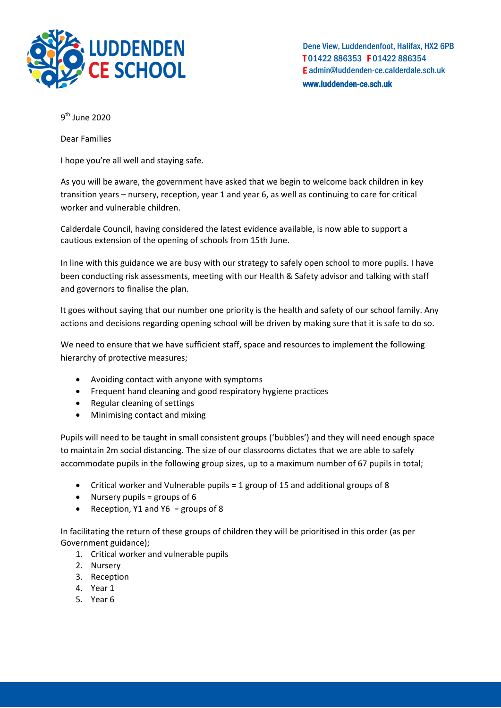

Dene View, Luddendenfoot, Halifax, HX2 6PB T 01422 886353 F 01422 886354 E admin@luddenden-ce.calderdale.sch.uk www.luddenden-ce.sch.uk

9<sup>th</sup> June 2020

Dear Families

I hope you're all well and staying safe.

As you will be aware, the government have asked that we begin to welcome back children in key transition years – nursery, reception, year 1 and year 6, as well as continuing to care for critical worker and vulnerable children.

Calderdale Council, having considered the latest evidence available, is now able to support a cautious extension of the opening of schools from 15th June.

In line with this guidance we are busy with our strategy to safely open school to more pupils. I have been conducting risk assessments, meeting with our Health & Safety advisor and talking with staff and governors to finalise the plan.

It goes without saying that our number one priority is the health and safety of our school family. Any actions and decisions regarding opening school will be driven by making sure that it is safe to do so.

We need to ensure that we have sufficient staff, space and resources to implement the following hierarchy of protective measures;

- Avoiding contact with anyone with symptoms
- Frequent hand cleaning and good respiratory hygiene practices
- Regular cleaning of settings
- Minimising contact and mixing

Pupils will need to be taught in small consistent groups ('bubbles') and they will need enough space to maintain 2m social distancing. The size of our classrooms dictates that we are able to safely accommodate pupils in the following group sizes, up to a maximum number of 67 pupils in total;

- Critical worker and Vulnerable pupils = 1 group of 15 and additional groups of 8
- Nursery pupils = groups of 6
- Reception, Y1 and Y6 = groups of 8

In facilitating the return of these groups of children they will be prioritised in this order (as per Government guidance);

- 1. Critical worker and vulnerable pupils
- 2. Nursery
- 3. Reception
- 4. Year 1
- 5. Year 6